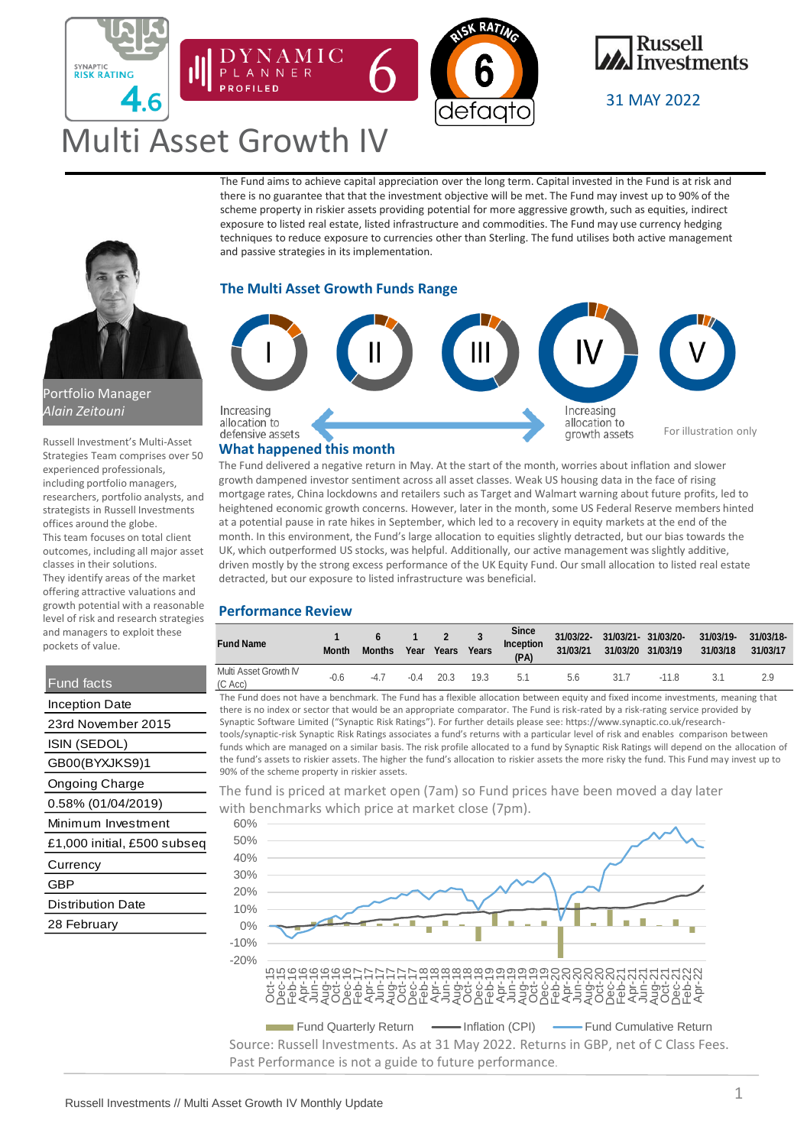



31 MAY 2022

# Multi Asset Growth IV

ANNE

The Fund aims to achieve capital appreciation over the long term. Capital invested in the Fund is at risk and there is no guarantee that that the investment objective will be met. The Fund may invest up to 90% of the scheme property in riskier assets providing potential for more aggressive growth, such as equities, indirect exposure to listed real estate, listed infrastructure and commodities. The Fund may use currency hedging techniques to reduce exposure to currencies other than Sterling. The fund utilises both active management and passive strategies in its implementation.

## **The Multi Asset Growth Funds Range**



### **What happened this month**

The Fund delivered a negative return in May. At the start of the month, worries about inflation and slower growth dampened investor sentiment across all asset classes. Weak US housing data in the face of rising mortgage rates, China lockdowns and retailers such as Target and Walmart warning about future profits, led to heightened economic growth concerns. However, later in the month, some US Federal Reserve members hinted at a potential pause in rate hikes in September, which led to a recovery in equity markets at the end of the month. In this environment, the Fund's large allocation to equities slightly detracted, but our bias towards the UK, which outperformed US stocks, was helpful. Additionally, our active management was slightly additive, driven mostly by the strong excess performance of the UK Equity Fund. Our small allocation to listed real estate detracted, but our exposure to listed infrastructure was beneficial.

## **Performance Review**

| <b>Fund Name</b>                 | <b>Month</b> | <b>Months</b> | Year   | $\mathbf{2}$<br>Years | Years | <b>Since</b><br>Inception<br>(PA) | 31/03/22-<br>31/03/21 | 31/03/21- 31/03/20-<br>31/03/20 31/03/19 |        | 31/03/19-<br>31/03/18 | 31/03/18-<br>31/03/17 |
|----------------------------------|--------------|---------------|--------|-----------------------|-------|-----------------------------------|-----------------------|------------------------------------------|--------|-----------------------|-----------------------|
| Multi Asset Growth IV<br>(C Acc) | $-0.6$       | $-4.7$        | $-0.4$ | 20.3                  | 19.3  | 5.1                               | 5.6                   | 31.7                                     | $-118$ |                       | 2.9                   |

The Fund does not have a benchmark. The Fund has a flexible allocation between equity and fixed income investments, meaning that there is no index or sector that would be an appropriate comparator. The Fund is risk-rated by a risk-rating service provided by Synaptic Software Limited ("Synaptic Risk Ratings"). For further details please see: https://www.synaptic.co.uk/researchtools/synaptic-risk Synaptic Risk Ratings associates a fund's returns with a particular level of risk and enables comparison between funds which are managed on a similar basis. The risk profile allocated to a fund by Synaptic Risk Ratings will depend on the allocation of the fund's assets to riskier assets. The higher the fund's allocation to riskier assets the more risky the fund. This Fund may invest up to 90% of the scheme property in riskier assets.

The fund is priced at market open (7am) so Fund prices have been moved a day later with benchmarks which price at market close (7pm).



Source: Russell Investments. As at 31 May 2022. Returns in GBP, net of C Class Fees. Past Performance is not a guide to future performance.



SYNAPTIC<br>RISK RATING

6

## Portfolio Manager *Alain Zeitouni*

Russell Investment's Multi-Asset Strategies Team comprises over 50 experienced professionals, including portfolio managers, researchers, portfolio analysts, and strategists in Russell Investments offices around the globe. This team focuses on total client outcomes, including all major asset classes in their solutions. They identify areas of the market offering attractive valuations and growth potential with a reasonable level of risk and research strategies and managers to exploit these pockets of value.

## Fund facts

| Inception Date              | the        |  |  |
|-----------------------------|------------|--|--|
| 23rd November 2015          |            |  |  |
| ISIN (SEDOL)                | toc<br>fun |  |  |
| GB00(BYXJKS9)1              | the<br>909 |  |  |
| <b>Ongoing Charge</b>       | Τh         |  |  |
| 0.58% (01/04/2019)          |            |  |  |
| Minimum Investment          | wi         |  |  |
| £1,000 initial, £500 subseq |            |  |  |
| Currency                    |            |  |  |
| GBP                         |            |  |  |
| <b>Distribution Date</b>    |            |  |  |
| 28 February                 |            |  |  |